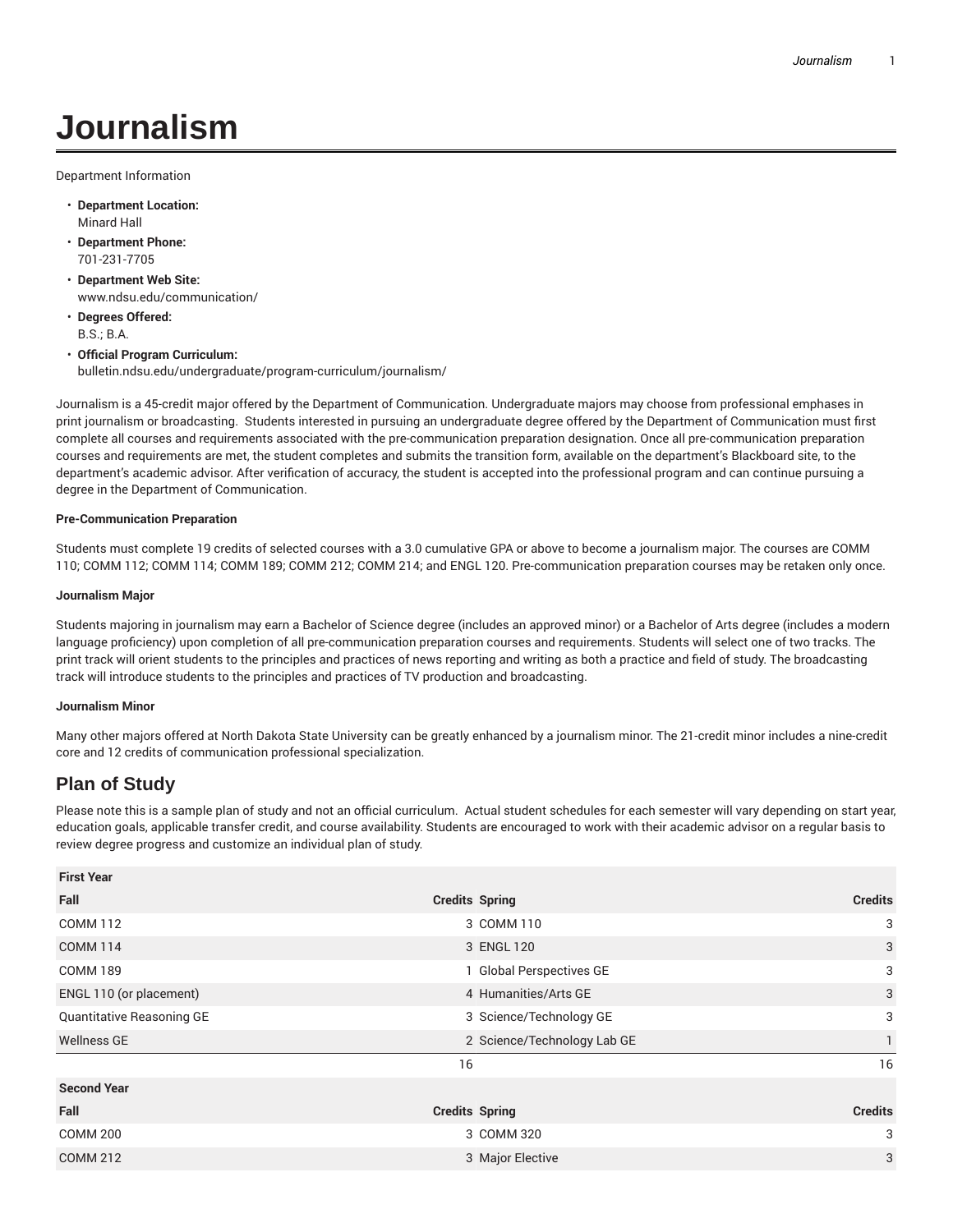# **Journalism**

Department Information

- **Department Location:** Minard Hall
- **Department Phone:** 701-231-7705
- **Department Web Site:** www.ndsu.edu/communication/
- **Degrees Offered:** B.S.; B.A.
- **Official Program Curriculum:** bulletin.ndsu.edu/undergraduate/program-curriculum/journalism/

Journalism is a 45-credit major offered by the Department of Communication. Undergraduate majors may choose from professional emphases in print journalism or broadcasting. Students interested in pursuing an undergraduate degree offered by the Department of Communication must first complete all courses and requirements associated with the pre-communication preparation designation. Once all pre-communication preparation courses and requirements are met, the student completes and submits the transition form, available on the department's Blackboard site, to the department's academic advisor. After verification of accuracy, the student is accepted into the professional program and can continue pursuing a degree in the Department of Communication.

### **Pre-Communication Preparation**

Students must complete 19 credits of selected courses with a 3.0 cumulative GPA or above to become a journalism major. The courses are COMM 110; COMM 112; COMM 114; COMM 189; COMM 212; COMM 214; and ENGL 120. Pre-communication preparation courses may be retaken only once.

#### **Journalism Major**

Students majoring in journalism may earn a Bachelor of Science degree (includes an approved minor) or a Bachelor of Arts degree (includes a modern language proficiency) upon completion of all pre-communication preparation courses and requirements. Students will select one of two tracks. The print track will orient students to the principles and practices of news reporting and writing as both a practice and field of study. The broadcasting track will introduce students to the principles and practices of TV production and broadcasting.

#### **Journalism Minor**

Many other majors offered at North Dakota State University can be greatly enhanced by a journalism minor. The 21-credit minor includes a nine-credit core and 12 credits of communication professional specialization.

## **Plan of Study**

Please note this is a sample plan of study and not an official curriculum. Actual student schedules for each semester will vary depending on start year, education goals, applicable transfer credit, and course availability. Students are encouraged to work with their academic advisor on a regular basis to review degree progress and customize an individual plan of study.

| <b>First Year</b>         |                             |                     |
|---------------------------|-----------------------------|---------------------|
| Fall                      | <b>Credits Spring</b>       | <b>Credits</b><br>3 |
| <b>COMM 112</b>           | 3 COMM 110                  |                     |
| <b>COMM 114</b>           | 3 ENGL 120                  | 3                   |
| <b>COMM 189</b>           | 1 Global Perspectives GE    | 3                   |
| ENGL 110 (or placement)   | 4 Humanities/Arts GE        | 3                   |
| Quantitative Reasoning GE | 3 Science/Technology GE     | 3                   |
| <b>Wellness GE</b>        | 2 Science/Technology Lab GE |                     |
|                           | 16                          | 16                  |
| <b>Second Year</b>        |                             |                     |
| Fall                      | <b>Credits Spring</b>       | <b>Credits</b>      |
| <b>COMM 200</b>           | 3 COMM 320                  | 3                   |
| <b>COMM 212</b>           | 3 Major Elective            | 3                   |